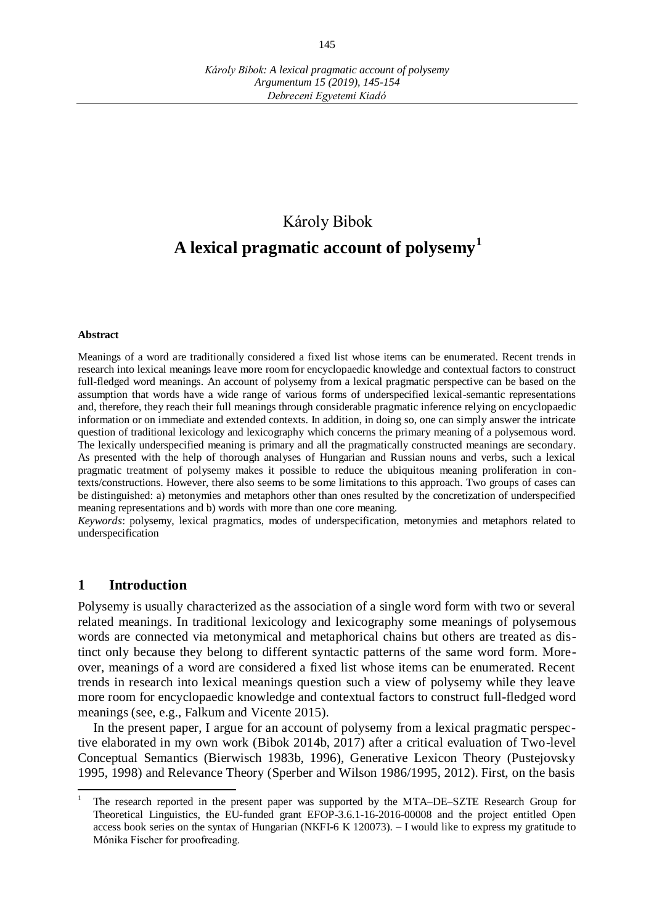# Károly Bibok **A lexical pragmatic account of polysemy<sup>1</sup>**

#### **Abstract**

Meanings of a word are traditionally considered a fixed list whose items can be enumerated. Recent trends in research into lexical meanings leave more room for encyclopaedic knowledge and contextual factors to construct full-fledged word meanings. An account of polysemy from a lexical pragmatic perspective can be based on the assumption that words have a wide range of various forms of underspecified lexical-semantic representations and, therefore, they reach their full meanings through considerable pragmatic inference relying on encyclopaedic information or on immediate and extended contexts. In addition, in doing so, one can simply answer the intricate question of traditional lexicology and lexicography which concerns the primary meaning of a polysemous word. The lexically underspecified meaning is primary and all the pragmatically constructed meanings are secondary. As presented with the help of thorough analyses of Hungarian and Russian nouns and verbs, such a lexical pragmatic treatment of polysemy makes it possible to reduce the ubiquitous meaning proliferation in contexts/constructions. However, there also seems to be some limitations to this approach. Two groups of cases can be distinguished: a) metonymies and metaphors other than ones resulted by the concretization of underspecified meaning representations and b) words with more than one core meaning.

*Keywords*: polysemy, lexical pragmatics, modes of underspecification, metonymies and metaphors related to underspecification

#### **1 Introduction**

 $\overline{a}$ 

Polysemy is usually characterized as the association of a single word form with two or several related meanings. In traditional lexicology and lexicography some meanings of polysemous words are connected via metonymical and metaphorical chains but others are treated as distinct only because they belong to different syntactic patterns of the same word form. Moreover, meanings of a word are considered a fixed list whose items can be enumerated. Recent trends in research into lexical meanings question such a view of polysemy while they leave more room for encyclopaedic knowledge and contextual factors to construct full-fledged word meanings (see, e.g., Falkum and Vicente 2015).

In the present paper, I argue for an account of polysemy from a lexical pragmatic perspective elaborated in my own work (Bibok 2014b, 2017) after a critical evaluation of Two-level Conceptual Semantics (Bierwisch 1983b, 1996), Generative Lexicon Theory (Pustejovsky 1995, 1998) and Relevance Theory (Sperber and Wilson 1986/1995, 2012). First, on the basis

<sup>1</sup> The research reported in the present paper was supported by the MTA–DE–SZTE Research Group for Theoretical Linguistics, the EU-funded grant EFOP-3.6.1-16-2016-00008 and the project entitled Open access book series on the syntax of Hungarian (NKFI-6 K 120073). – I would like to express my gratitude to Mónika Fischer for proofreading.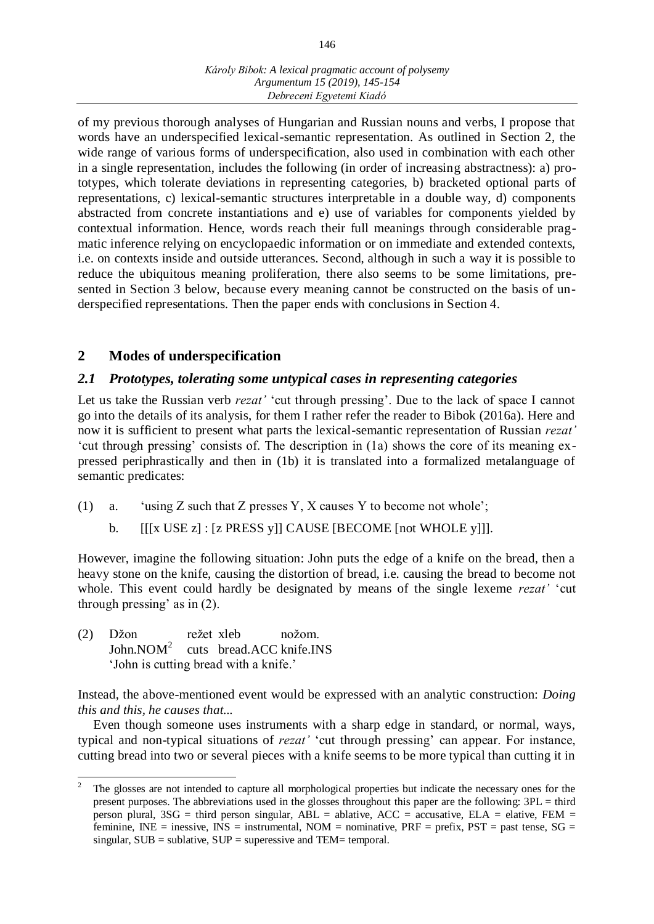of my previous thorough analyses of Hungarian and Russian nouns and verbs, I propose that words have an underspecified lexical-semantic representation. As outlined in Section 2, the wide range of various forms of underspecification, also used in combination with each other in a single representation, includes the following (in order of increasing abstractness): a) prototypes, which tolerate deviations in representing categories, b) bracketed optional parts of representations, c) lexical-semantic structures interpretable in a double way, d) components abstracted from concrete instantiations and e) use of variables for components yielded by contextual information. Hence, words reach their full meanings through considerable pragmatic inference relying on encyclopaedic information or on immediate and extended contexts, i.e. on contexts inside and outside utterances. Second, although in such a way it is possible to reduce the ubiquitous meaning proliferation, there also seems to be some limitations, presented in Section 3 below, because every meaning cannot be constructed on the basis of underspecified representations. Then the paper ends with conclusions in Section 4.

# **2 Modes of underspecification**

# *2.1 Prototypes, tolerating some untypical cases in representing categories*

Let us take the Russian verb *rezat'* 'cut through pressing'. Due to the lack of space I cannot go into the details of its analysis, for them I rather refer the reader to Bibok (2016a). Here and now it is sufficient to present what parts the lexical-semantic representation of Russian *rezat'* 'cut through pressing' consists of. The description in (1a) shows the core of its meaning expressed periphrastically and then in (1b) it is translated into a formalized metalanguage of semantic predicates:

- (1) a. 'using Z such that Z presses Y, X causes Y to become not whole';
	- b. [[[x USE z] : [z PRESS y]] CAUSE [BECOME [not WHOLE y]]].

However, imagine the following situation: John puts the edge of a knife on the bread, then a heavy stone on the knife, causing the distortion of bread, i.e. causing the bread to become not whole. This event could hardly be designated by means of the single lexeme *rezat'* 'cut through pressing' as in (2).

(2) Džon režet xleb nožom. John. $NOM^2$ cuts bread.ACC knife.INS 'John is cutting bread with a knife.'

Instead, the above-mentioned event would be expressed with an analytic construction: *Doing this and this, he causes that...*

Even though someone uses instruments with a sharp edge in standard, or normal, ways, typical and non-typical situations of *rezat'* 'cut through pressing' can appear. For instance, cutting bread into two or several pieces with a knife seems to be more typical than cutting it in

<sup>2</sup> The glosses are not intended to capture all morphological properties but indicate the necessary ones for the present purposes. The abbreviations used in the glosses throughout this paper are the following: 3PL = third person plural,  $3SG =$  third person singular,  $ABL =$  ablative,  $ACC =$  accusative,  $ELA =$  elative,  $FEM =$ feminine, INE = inessive, INS = instrumental, NOM = nominative,  $PRF = prefix$ ,  $PST = past$  tense,  $SG =$ singular,  $SUB = sublative$ ,  $SUP = superesive$  and  $TEM = temporal$ .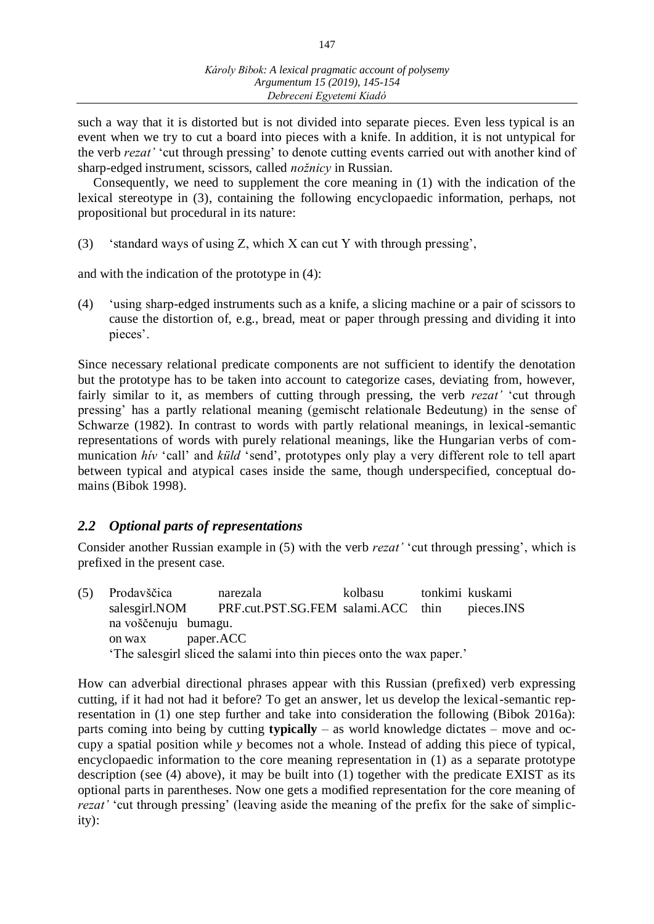such a way that it is distorted but is not divided into separate pieces. Even less typical is an event when we try to cut a board into pieces with a knife. In addition, it is not untypical for the verb *rezat'* 'cut through pressing' to denote cutting events carried out with another kind of sharp-edged instrument, scissors, called *nožnicy* in Russian.

Consequently, we need to supplement the core meaning in (1) with the indication of the lexical stereotype in (3), containing the following encyclopaedic information, perhaps, not propositional but procedural in its nature:

(3) 'standard ways of using Z, which X can cut Y with through pressing',

and with the indication of the prototype in (4):

(4) 'using sharp-edged instruments such as a knife, a slicing machine or a pair of scissors to cause the distortion of, e.g., bread, meat or paper through pressing and dividing it into pieces'.

Since necessary relational predicate components are not sufficient to identify the denotation but the prototype has to be taken into account to categorize cases, deviating from, however, fairly similar to it, as members of cutting through pressing, the verb *rezat'* 'cut through pressing' has a partly relational meaning (gemischt relationale Bedeutung) in the sense of Schwarze (1982). In contrast to words with partly relational meanings, in lexical-semantic representations of words with purely relational meanings, like the Hungarian verbs of communication *hív* 'call' and *küld* 'send', prototypes only play a very different role to tell apart between typical and atypical cases inside the same, though underspecified, conceptual domains (Bibok 1998).

## *2.2 Optional parts of representations*

Consider another Russian example in (5) with the verb *rezat'* 'cut through pressing', which is prefixed in the present case.

(5) Prodavščica narezala kolbasu tonkimi kuskami salesgirl.NOM PRF.cut.PST.SG.FEM salami.ACC thin pieces.INS na voščenuju bumagu. on wax paper.ACC 'The salesgirl sliced the salami into thin pieces onto the wax paper.'

How can adverbial directional phrases appear with this Russian (prefixed) verb expressing cutting, if it had not had it before? To get an answer, let us develop the lexical-semantic representation in (1) one step further and take into consideration the following (Bibok 2016a): parts coming into being by cutting **typically** – as world knowledge dictates – move and occupy a spatial position while *y* becomes not a whole. Instead of adding this piece of typical, encyclopaedic information to the core meaning representation in (1) as a separate prototype description (see (4) above), it may be built into (1) together with the predicate EXIST as its optional parts in parentheses. Now one gets a modified representation for the core meaning of *rezat'* 'cut through pressing' (leaving aside the meaning of the prefix for the sake of simplicity):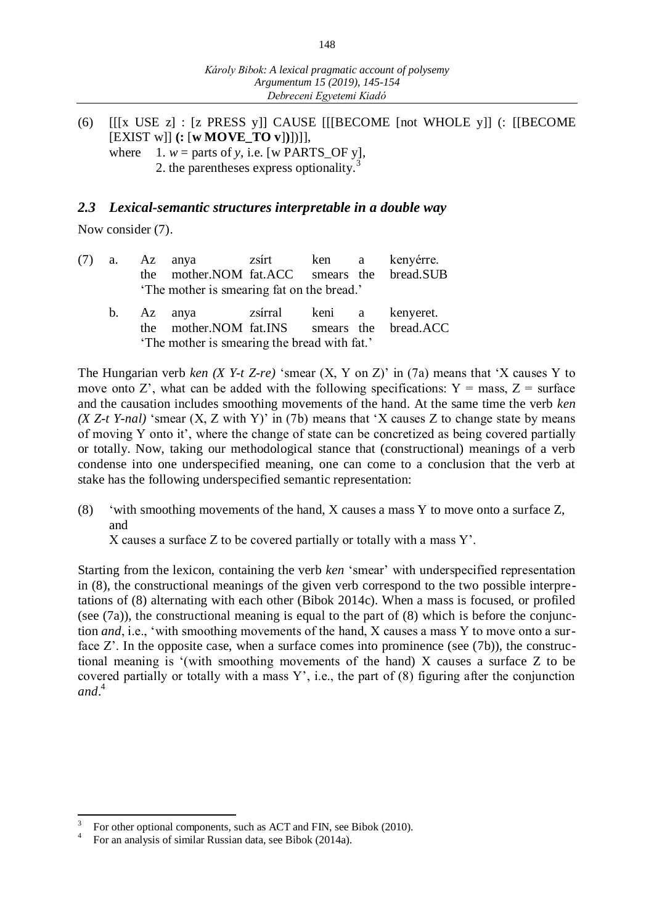(6) [[[x USE z] : [z PRESS y]] CAUSE [[[BECOME [not WHOLE y]] (: [[BECOME [EXIST w]] **(:** [**w MOVE\_TO v**]**)**])]], where  $1. w =$  parts of *y*, i.e. [w PARTS\_OF *y*],

2. the parentheses express optionality.<sup>3</sup>

#### *2.3 Lexical-semantic structures interpretable in a double way*

Now consider  $(7)$ .

| (7) |  | a. Az anya zsírt ken a kenyérre.<br>the mother. NOM fat. ACC smears the bread. SUB<br>'The mother is smearing fat on the bread.'      |  |  |
|-----|--|---------------------------------------------------------------------------------------------------------------------------------------|--|--|
|     |  | b. Az anya zsírral keni a kenyeret.<br>the mother. NOM fat. INS smears the bread. ACC<br>'The mother is smearing the bread with fat.' |  |  |

The Hungarian verb *ken (X Y-t Z-re)* 'smear (X, Y on Z)' in (7a) means that 'X causes Y to move onto Z', what can be added with the following specifications:  $Y = \text{mass}, Z = \text{surface}$ and the causation includes smoothing movements of the hand. At the same time the verb *ken (X Z-t Y-nal)* 'smear (X, Z with Y)' in (7b) means that 'X causes Z to change state by means of moving Y onto it', where the change of state can be concretized as being covered partially or totally. Now, taking our methodological stance that (constructional) meanings of a verb condense into one underspecified meaning, one can come to a conclusion that the verb at stake has the following underspecified semantic representation:

(8) 'with smoothing movements of the hand, X causes a mass Y to move onto a surface Z, and

X causes a surface Z to be covered partially or totally with a mass Y'.

Starting from the lexicon, containing the verb *ken* 'smear' with underspecified representation in (8), the constructional meanings of the given verb correspond to the two possible interpretations of (8) alternating with each other (Bibok 2014c). When a mass is focused, or profiled (see (7a)), the constructional meaning is equal to the part of (8) which is before the conjunction *and*, i.e., 'with smoothing movements of the hand, X causes a mass Y to move onto a surface Z'. In the opposite case, when a surface comes into prominence (see (7b)), the constructional meaning is '(with smoothing movements of the hand) X causes a surface Z to be covered partially or totally with a mass  $Y'$ , i.e., the part of  $(8)$  figuring after the conjunction *and*. 4

 $\overline{a}$ 

<sup>3</sup> For other optional components, such as ACT and FIN, see Bibok (2010).

<sup>4</sup> For an analysis of similar Russian data, see Bibok (2014a).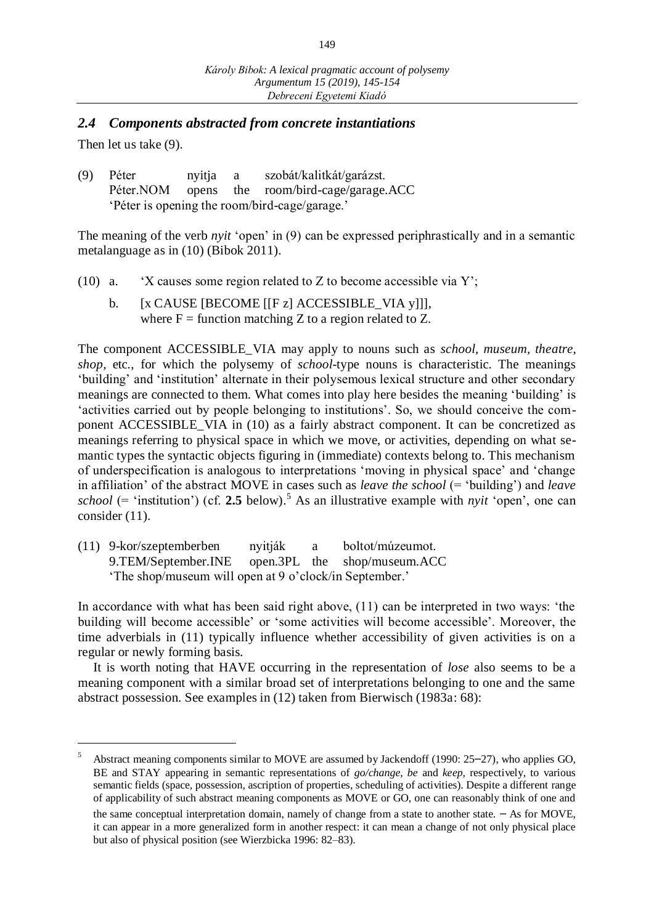#### *2.4 Components abstracted from concrete instantiations*

Then let us take (9).

 $\overline{a}$ 

(9) Péter nyitja a szobát/kalitkát/garázst. Péter.NOM opens the room/bird-cage/garage.ACC 'Péter is opening the room/bird-cage/garage.'

The meaning of the verb *nyit* 'open' in (9) can be expressed periphrastically and in a semantic metalanguage as in (10) (Bibok 2011).

- (10) a. 'X causes some region related to Z to become accessible via Y';
	- b. [x CAUSE [BECOME [[F z] ACCESSIBLE\_VIA y]]], where  $F =$  function matching Z to a region related to Z.

The component ACCESSIBLE\_VIA may apply to nouns such as *school, museum, theatre, shop,* etc., for which the polysemy of *school*-type nouns is characteristic. The meanings 'building' and 'institution' alternate in their polysemous lexical structure and other secondary meanings are connected to them. What comes into play here besides the meaning 'building' is 'activities carried out by people belonging to institutions'. So, we should conceive the component ACCESSIBLE\_VIA in (10) as a fairly abstract component. It can be concretized as meanings referring to physical space in which we move, or activities, depending on what semantic types the syntactic objects figuring in (immediate) contexts belong to. This mechanism of underspecification is analogous to interpretations 'moving in physical space' and 'change in affiliation' of the abstract MOVE in cases such as *leave the school* (= 'building') and *leave school* (= 'institution') (cf. 2.5 below).<sup>5</sup> As an illustrative example with *nyit* 'open', one can consider (11).

(11) 9-kor/szeptemberben nyitják a boltot/múzeumot. 9.TEM/September.INE open.3PL the shop/museum.ACC 'The shop/museum will open at 9 o'clock/in September.'

In accordance with what has been said right above, (11) can be interpreted in two ways: 'the building will become accessible' or 'some activities will become accessible'. Moreover, the time adverbials in (11) typically influence whether accessibility of given activities is on a regular or newly forming basis.

It is worth noting that HAVE occurring in the representation of *lose* also seems to be a meaning component with a similar broad set of interpretations belonging to one and the same abstract possession. See examples in (12) taken from Bierwisch (1983a: 68):

<sup>5</sup> Abstract meaning components similar to MOVE are assumed by Jackendoff (1990: 25–27), who applies GO, BE and STAY appearing in semantic representations of *go/change, be* and *keep,* respectively, to various semantic fields (space, possession, ascription of properties, scheduling of activities). Despite a different range of applicability of such abstract meaning components as MOVE or GO, one can reasonably think of one and

the same conceptual interpretation domain, namely of change from a state to another state. – As for MOVE, it can appear in a more generalized form in another respect: it can mean a change of not only physical place but also of physical position (see Wierzbicka 1996: 82–83).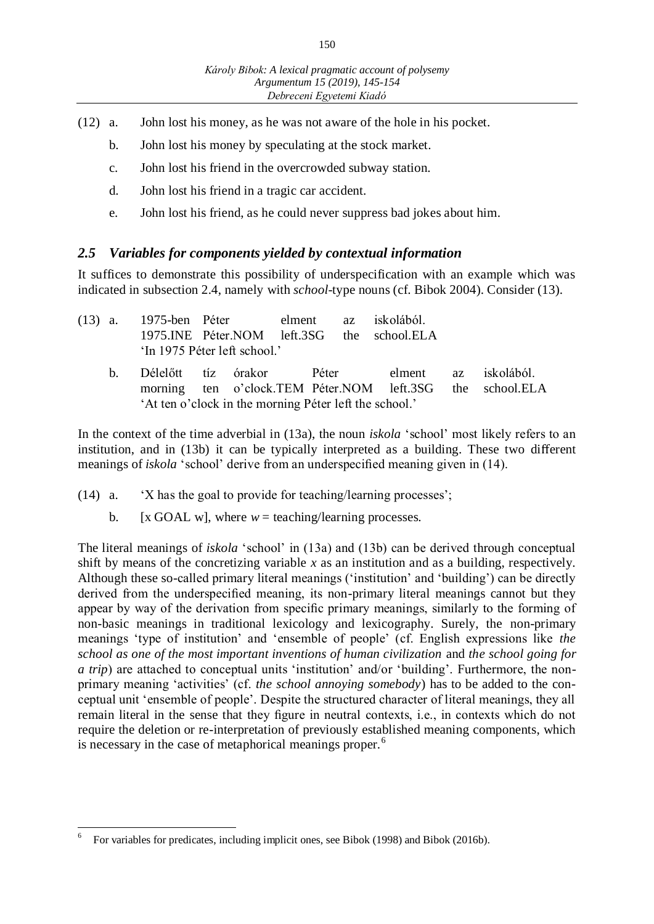- (12) a. John lost his money, as he was not aware of the hole in his pocket.
	- b. John lost his money by speculating at the stock market.
	- c. John lost his friend in the overcrowded subway station.
	- d. John lost his friend in a tragic car accident.
	- e. John lost his friend, as he could never suppress bad jokes about him.

## *2.5 Variables for components yielded by contextual information*

It suffices to demonstrate this possibility of underspecification with an example which was indicated in subsection 2.4, namely with *school*-type nouns (cf. Bibok 2004). Consider (13).

| $(13)$ a. |         |                                                        | 'In 1975 Péter left school.' |  | 1975-ben Péter elment az iskolából.<br>1975.INE Péter.NOM left.3SG the school.ELA |  |                                                                                                                 |  |
|-----------|---------|--------------------------------------------------------|------------------------------|--|-----------------------------------------------------------------------------------|--|-----------------------------------------------------------------------------------------------------------------|--|
|           | $h_{-}$ | 'At ten o'clock in the morning Péter left the school.' |                              |  |                                                                                   |  | Délelőtt tíz órakor – Péter – elment az iskolából.<br>morning ten o'clock.TEM Péter.NOM left.3SG the school.ELA |  |

In the context of the time adverbial in (13a), the noun *iskola* 'school' most likely refers to an institution, and in (13b) it can be typically interpreted as a building. These two different meanings of *iskola* 'school' derive from an underspecified meaning given in (14).

- (14) a. 'X has the goal to provide for teaching/learning processes';
	- b.  $[x \text{ GOAL } w]$ , where  $w = \text{teaching/learning processes.}$

The literal meanings of *iskola* 'school' in (13a) and (13b) can be derived through conceptual shift by means of the concretizing variable *x* as an institution and as a building, respectively. Although these so-called primary literal meanings ('institution' and 'building') can be directly derived from the underspecified meaning, its non-primary literal meanings cannot but they appear by way of the derivation from specific primary meanings, similarly to the forming of non-basic meanings in traditional lexicology and lexicography. Surely, the non-primary meanings 'type of institution' and 'ensemble of people' (cf. English expressions like *the school as one of the most important inventions of human civilization* and *the school going for a trip*) are attached to conceptual units 'institution' and/or 'building'. Furthermore, the nonprimary meaning 'activities' (cf. *the school annoying somebody*) has to be added to the conceptual unit 'ensemble of people'. Despite the structured character of literal meanings, they all remain literal in the sense that they figure in neutral contexts, i.e., in contexts which do not require the deletion or re-interpretation of previously established meaning components, which is necessary in the case of metaphorical meanings proper.<sup>6</sup>

 6 For variables for predicates, including implicit ones, see Bibok (1998) and Bibok (2016b).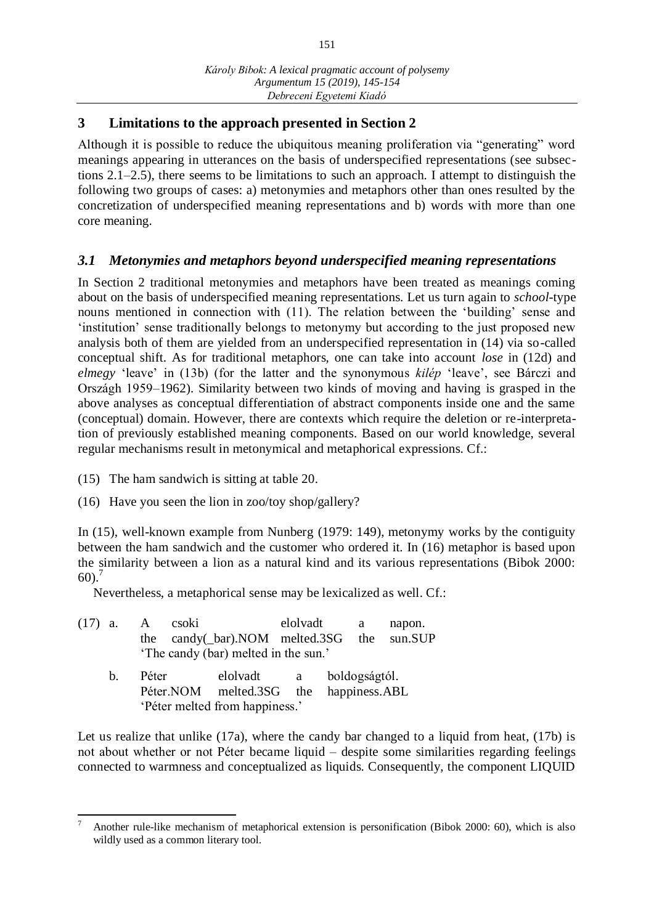# **3 Limitations to the approach presented in Section 2**

Although it is possible to reduce the ubiquitous meaning proliferation via "generating" word meanings appearing in utterances on the basis of underspecified representations (see subsections 2.1–2.5), there seems to be limitations to such an approach. I attempt to distinguish the following two groups of cases: a) metonymies and metaphors other than ones resulted by the concretization of underspecified meaning representations and b) words with more than one core meaning.

# *3.1 Metonymies and metaphors beyond underspecified meaning representations*

In Section 2 traditional metonymies and metaphors have been treated as meanings coming about on the basis of underspecified meaning representations. Let us turn again to *school*-type nouns mentioned in connection with (11). The relation between the 'building' sense and 'institution' sense traditionally belongs to metonymy but according to the just proposed new analysis both of them are yielded from an underspecified representation in (14) via so-called conceptual shift. As for traditional metaphors, one can take into account *lose* in (12d) and *elmegy* 'leave' in (13b) (for the latter and the synonymous *kilép* 'leave', see Bárczi and Országh 1959–1962). Similarity between two kinds of moving and having is grasped in the above analyses as conceptual differentiation of abstract components inside one and the same (conceptual) domain. However, there are contexts which require the deletion or re-interpretation of previously established meaning components. Based on our world knowledge, several regular mechanisms result in metonymical and metaphorical expressions. Cf.:

- (15) The ham sandwich is sitting at table 20.
- (16) Have you seen the lion in zoo/toy shop/gallery?

In (15), well-known example from Nunberg (1979: 149), metonymy works by the contiguity between the ham sandwich and the customer who ordered it. In (16) metaphor is based upon the similarity between a lion as a natural kind and its various representations (Bibok 2000:  $60$ ).<sup>7</sup>

Nevertheless, a metaphorical sense may be lexicalized as well. Cf.:

|                                      |    |                                | $(17)$ a. A csoki |                                        | elolvadt                                   |  |  | a a | napon. |
|--------------------------------------|----|--------------------------------|-------------------|----------------------------------------|--------------------------------------------|--|--|-----|--------|
|                                      |    |                                |                   |                                        | the candy(_bar).NOM melted.3SG the sun.SUP |  |  |     |        |
| 'The candy (bar) melted in the sun.' |    |                                |                   |                                        |                                            |  |  |     |        |
|                                      | b. | Péter                          |                   | elolvadt a boldogságtól.               |                                            |  |  |     |        |
|                                      |    |                                |                   | Péter.NOM melted.3SG the happiness.ABL |                                            |  |  |     |        |
|                                      |    | 'Péter melted from happiness.' |                   |                                        |                                            |  |  |     |        |

Let us realize that unlike (17a), where the candy bar changed to a liquid from heat, (17b) is not about whether or not Péter became liquid – despite some similarities regarding feelings connected to warmness and conceptualized as liquids. Consequently, the component LIQUID

 $\overline{a}$ <sup>7</sup> Another rule-like mechanism of metaphorical extension is personification (Bibok 2000: 60), which is also wildly used as a common literary tool.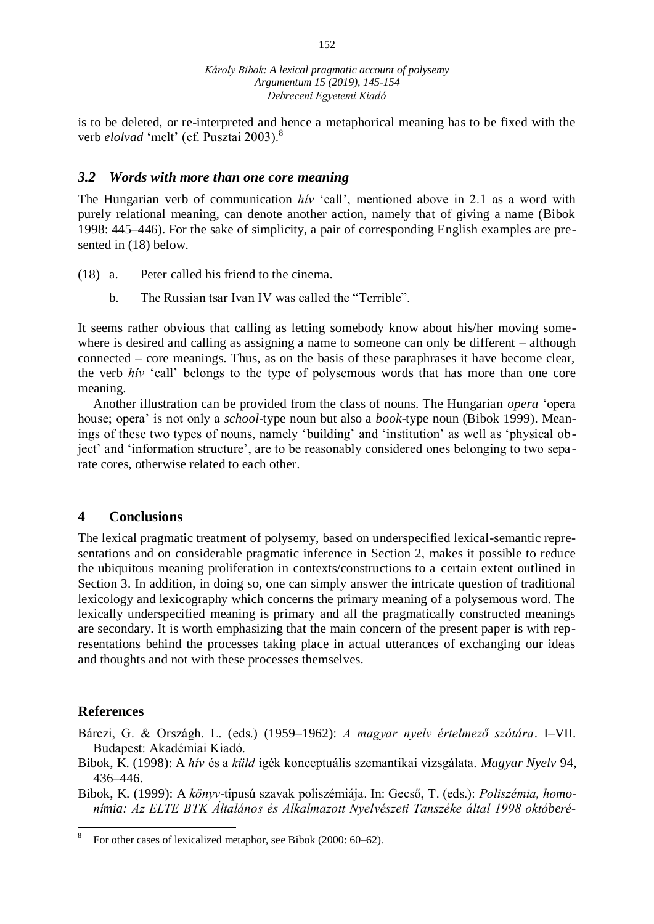152

is to be deleted, or re-interpreted and hence a metaphorical meaning has to be fixed with the verb *elolvad* 'melt' (cf. Pusztai 2003).<sup>8</sup>

#### *3.2 Words with more than one core meaning*

The Hungarian verb of communication *hív* 'call', mentioned above in 2.1 as a word with purely relational meaning, can denote another action, namely that of giving a name (Bibok 1998: 445–446). For the sake of simplicity, a pair of corresponding English examples are presented in (18) below.

- (18) a. Peter called his friend to the cinema.
	- b. The Russian tsar Ivan IV was called the "Terrible".

It seems rather obvious that calling as letting somebody know about his/her moving somewhere is desired and calling as assigning a name to someone can only be different – although connected – core meanings. Thus, as on the basis of these paraphrases it have become clear, the verb *hív* 'call' belongs to the type of polysemous words that has more than one core meaning.

Another illustration can be provided from the class of nouns. The Hungarian *opera* 'opera house; opera' is not only a *school*-type noun but also a *book*-type noun (Bibok 1999). Meanings of these two types of nouns, namely 'building' and 'institution' as well as 'physical object' and 'information structure', are to be reasonably considered ones belonging to two separate cores, otherwise related to each other.

## **4 Conclusions**

The lexical pragmatic treatment of polysemy, based on underspecified lexical-semantic representations and on considerable pragmatic inference in Section 2, makes it possible to reduce the ubiquitous meaning proliferation in contexts/constructions to a certain extent outlined in Section 3. In addition, in doing so, one can simply answer the intricate question of traditional lexicology and lexicography which concerns the primary meaning of a polysemous word. The lexically underspecified meaning is primary and all the pragmatically constructed meanings are secondary. It is worth emphasizing that the main concern of the present paper is with representations behind the processes taking place in actual utterances of exchanging our ideas and thoughts and not with these processes themselves.

#### **References**

Bárczi, G. & Országh. L. (eds.) (1959–1962): *A magyar nyelv értelmező szótára*. I–VII. Budapest: Akadémiai Kiadó.

- Bibok, K. (1998): A *hív* és a *küld* igék konceptuális szemantikai vizsgálata. *Magyar Nyelv* 94, 436–446.
- Bibok, K. (1999): A *könyv*-típusú szavak poliszémiája. In: Gecső, T. (eds.): *Poliszémia, homonímia: Az ELTE BTK Általános és Alkalmazott Nyelvészeti Tanszéke által 1998 októberé-*

<sup>8</sup> For other cases of lexicalized metaphor, see Bibok (2000: 60–62).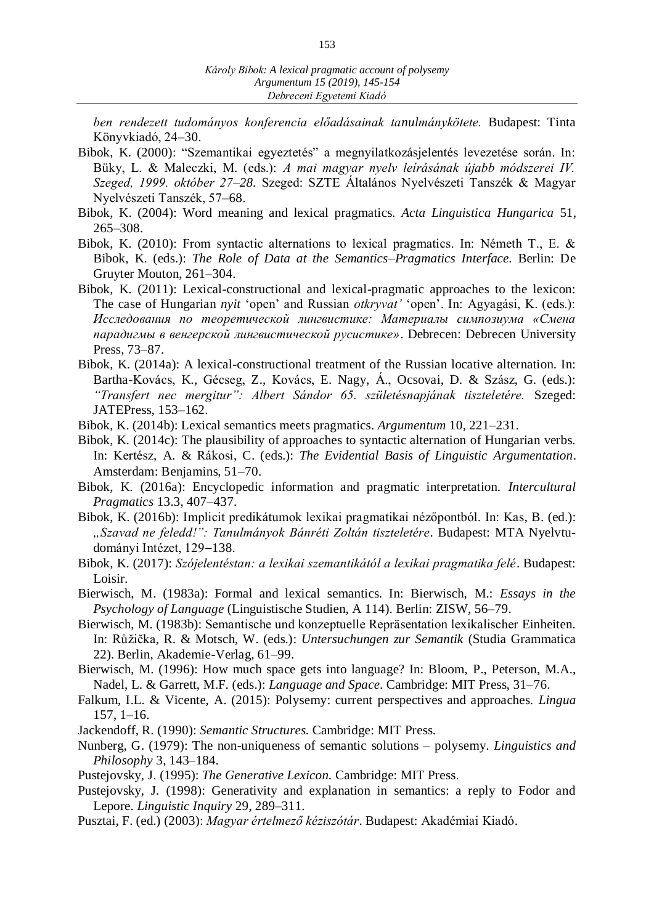*ben rendezett tudományos konferencia előadásainak tanulmánykötete.* Budapest: Tinta Könyvkiadó, 24–30.

- Bibok, K. (2000): "Szemantikai egyeztetés" a megnyilatkozásjelentés levezetése során. In: Büky, L. & Maleczki, M. (eds.): *A mai magyar nyelv leírásának újabb módszerei IV. Szeged, 1999. október 27–28.* Szeged: SZTE Általános Nyelvészeti Tanszék & Magyar Nyelvészeti Tanszék, 57–68.
- Bibok, K. (2004): Word meaning and lexical pragmatics. *Acta Linguistica Hungarica* 51, 265–308.
- Bibok, K. (2010): From syntactic alternations to lexical pragmatics. In: Németh T., E. & Bibok, K. (eds.): *The Role of Data at the Semantics–Pragmatics Interface.* Berlin: De Gruyter Mouton, 261–304.
- Bibok, K. (2011): Lexical-constructional and lexical-pragmatic approaches to the lexicon: The case of Hungarian *nyit* 'open' and Russian *otkryvat'* 'open'. In: Agyagási, K. (eds.): *Исследования по теоретической лингвистике: Материалы симпозиума «Смена парадигмы в венгерской лингвистической русистике»*. Debrecen: Debrecen University Press, 73–87.
- Bibok, K. (2014a): A lexical-constructional treatment of the Russian locative alternation. In: Bartha-Kovács, K., Gécseg, Z., Kovács, E. Nagy, Á., Ocsovai, D. & Szász, G. (eds.): *"Transfert nec mergitur": Albert Sándor 65. születésnapjának tiszteletére.* Szeged: JATEPress, 153–162.
- Bibok, K. (2014b): Lexical semantics meets pragmatics. *Argumentum* 10, 221–231.
- Bibok, K. (2014c): The plausibility of approaches to syntactic alternation of Hungarian verbs. In: Kertész, A. & Rákosi, C. (eds.): *The Evidential Basis of Linguistic Argumentation*. Amsterdam: Benjamins, 51-70.
- Bibok, K. (2016a): Encyclopedic information and pragmatic interpretation. *Intercultural Pragmatics* 13.3, 407–437.
- Bibok, K. (2016b): Implicit predikátumok lexikai pragmatikai nézőpontból. In: Kas, B. (ed.): *"Szavad ne feledd!": Tanulmányok Bánréti Zoltán tiszteletére*. Budapest: MTA Nyelvtudományi Intézet, 129-138.
- Bibok, K. (2017): *Szójelentéstan: a lexikai szemantikától a lexikai pragmatika felé*. Budapest: Loisir.
- Bierwisch, M. (1983a): Formal and lexical semantics. In: Bierwisch, M.: *Essays in the Psychology of Language* (Linguistische Studien, A 114). Berlin: ZISW, 56–79.
- Bierwisch, M. (1983b): Semantische und konzeptuelle Repräsentation lexikalischer Einheiten. In: Růžička, R. & Motsch, W. (eds.): *Untersuchungen zur Semantik* (Studia Grammatica 22). Berlin, Akademie-Verlag, 61–99.
- Bierwisch, M. (1996): How much space gets into language? In: Bloom, P., Peterson, M.A., Nadel, L. & Garrett, M.F. (eds.): *Language and Space.* Cambridge: MIT Press, 31–76.
- Falkum, I.L. & Vicente, A. (2015): Polysemy: current perspectives and approaches. *Lingua* 157, 1–16.
- Jackendoff, R. (1990): *Semantic Structures.* Cambridge: MIT Press.
- Nunberg, G. (1979): The non-uniqueness of semantic solutions polysemy. *Linguistics and Philosophy* 3, 143–184.
- Pustejovsky, J. (1995): *The Generative Lexicon.* Cambridge: MIT Press.
- Pustejovsky, J. (1998): Generativity and explanation in semantics: a reply to Fodor and Lepore. *Linguistic Inquiry* 29, 289–311.
- Pusztai, F. (ed.) (2003): *Magyar értelmező kéziszótár*. Budapest: Akadémiai Kiadó.